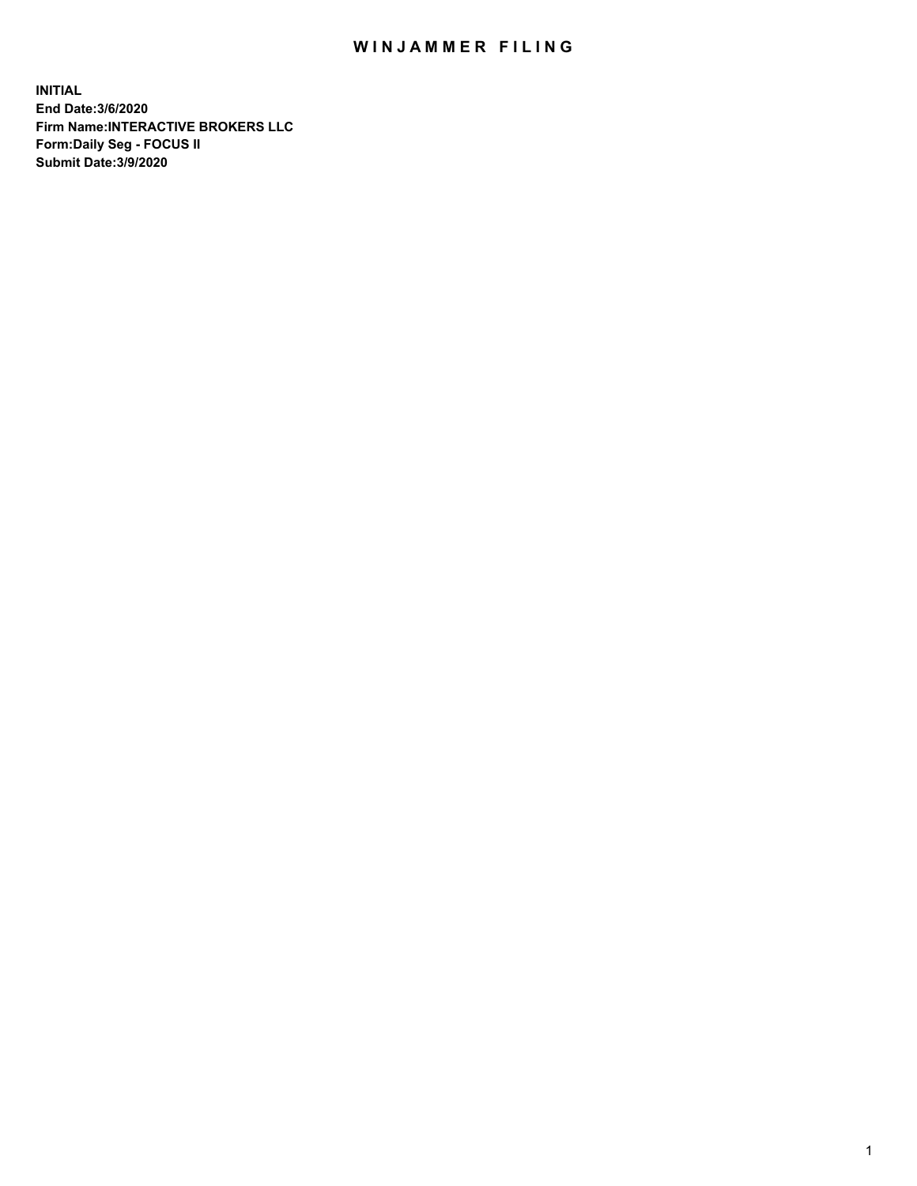## WIN JAMMER FILING

**INITIAL End Date:3/6/2020 Firm Name:INTERACTIVE BROKERS LLC Form:Daily Seg - FOCUS II Submit Date:3/9/2020**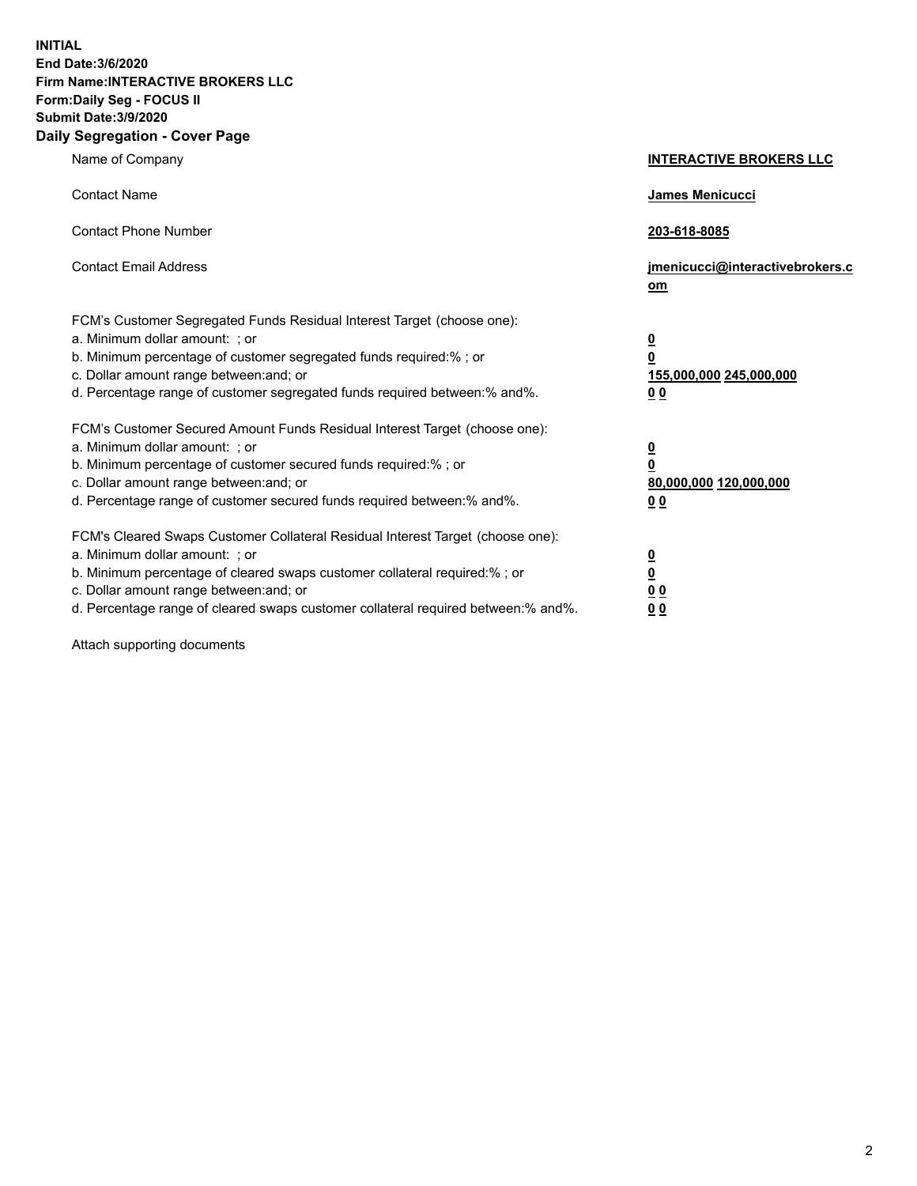**INITIAL End Date:3/6/2020 Firm Name:INTERACTIVE BROKERS LLC Form:Daily Seg - FOCUS II Submit Date:3/9/2020 Daily Segregation - Cover Page**

| Name of Company                                                                                                                                                                                                                                                                                                                | <b>INTERACTIVE BROKERS LLC</b>                                                                  |
|--------------------------------------------------------------------------------------------------------------------------------------------------------------------------------------------------------------------------------------------------------------------------------------------------------------------------------|-------------------------------------------------------------------------------------------------|
| <b>Contact Name</b>                                                                                                                                                                                                                                                                                                            | James Menicucci                                                                                 |
| <b>Contact Phone Number</b>                                                                                                                                                                                                                                                                                                    | 203-618-8085                                                                                    |
| <b>Contact Email Address</b>                                                                                                                                                                                                                                                                                                   | jmenicucci@interactivebrokers.c<br>om                                                           |
| FCM's Customer Segregated Funds Residual Interest Target (choose one):<br>a. Minimum dollar amount: : or<br>b. Minimum percentage of customer segregated funds required:% ; or<br>c. Dollar amount range between: and; or<br>d. Percentage range of customer segregated funds required between:% and%.                         | $\overline{\mathbf{0}}$<br>$\overline{\mathbf{0}}$<br>155,000,000 245,000,000<br>0 <sub>0</sub> |
| FCM's Customer Secured Amount Funds Residual Interest Target (choose one):<br>a. Minimum dollar amount: ; or<br>b. Minimum percentage of customer secured funds required:% ; or<br>c. Dollar amount range between: and; or<br>d. Percentage range of customer secured funds required between:% and%.                           | $\frac{0}{0}$<br>80,000,000 120,000,000<br>00                                                   |
| FCM's Cleared Swaps Customer Collateral Residual Interest Target (choose one):<br>a. Minimum dollar amount: ; or<br>b. Minimum percentage of cleared swaps customer collateral required:% ; or<br>c. Dollar amount range between: and; or<br>d. Percentage range of cleared swaps customer collateral required between:% and%. | $\overline{\mathbf{0}}$<br>$\underline{\mathbf{0}}$<br>0 <sub>0</sub><br>0 <sub>0</sub>         |

Attach supporting documents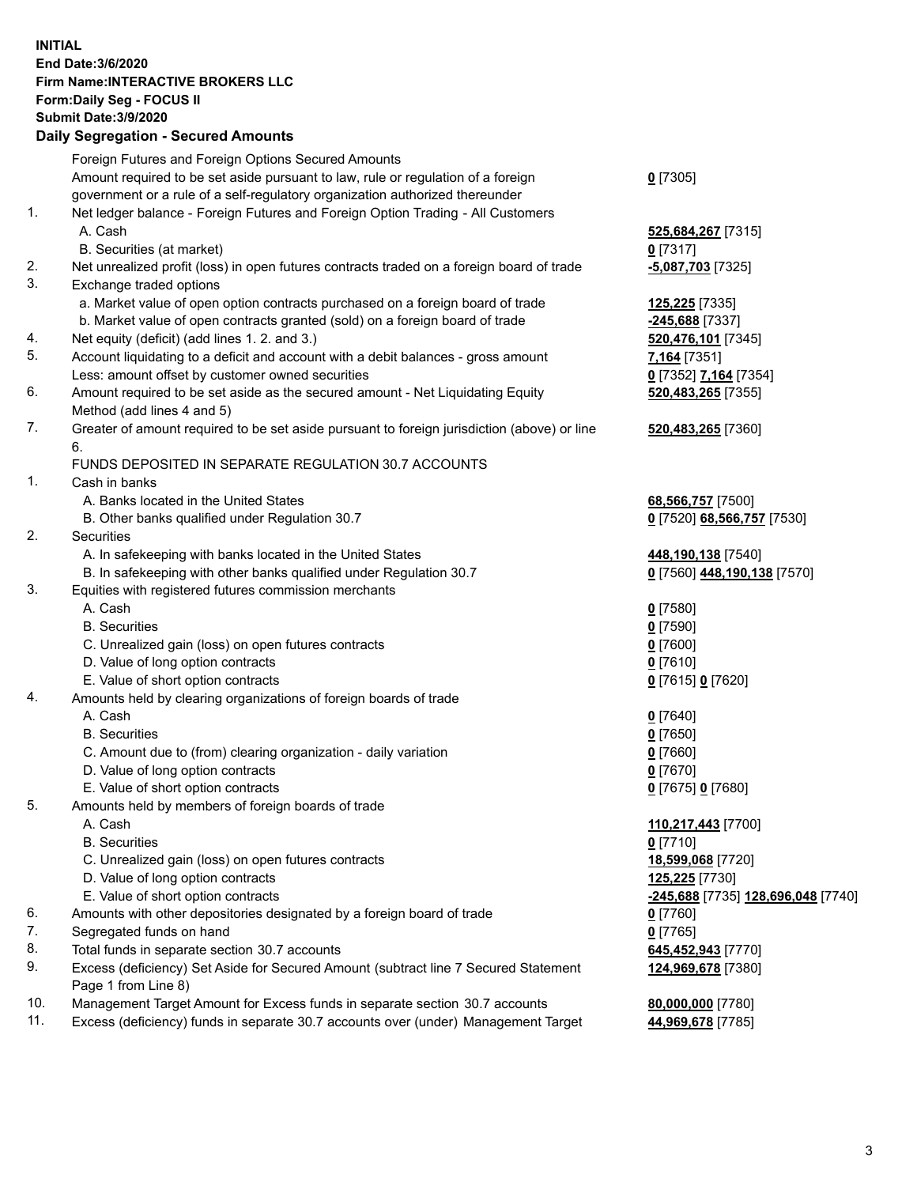## **INITIAL End Date:3/6/2020 Firm Name:INTERACTIVE BROKERS LLC Form:Daily Seg - FOCUS II Submit Date:3/9/2020 Daily Segregation - Secured Amounts**

|     | Daily Jegregation - Jeculed Aniounts                                                        |                                    |
|-----|---------------------------------------------------------------------------------------------|------------------------------------|
|     | Foreign Futures and Foreign Options Secured Amounts                                         |                                    |
|     | Amount required to be set aside pursuant to law, rule or regulation of a foreign            | $0$ [7305]                         |
|     | government or a rule of a self-regulatory organization authorized thereunder                |                                    |
| 1.  | Net ledger balance - Foreign Futures and Foreign Option Trading - All Customers             |                                    |
|     | A. Cash                                                                                     | 525,684,267 [7315]                 |
|     | B. Securities (at market)                                                                   | $0$ [7317]                         |
| 2.  | Net unrealized profit (loss) in open futures contracts traded on a foreign board of trade   | -5,087,703 [7325]                  |
| 3.  | Exchange traded options                                                                     |                                    |
|     | a. Market value of open option contracts purchased on a foreign board of trade              | <b>125,225</b> [7335]              |
|     | b. Market value of open contracts granted (sold) on a foreign board of trade                | $-245,688$ [7337]                  |
| 4.  | Net equity (deficit) (add lines 1. 2. and 3.)                                               | 520,476,101 [7345]                 |
| 5.  | Account liquidating to a deficit and account with a debit balances - gross amount           | 7,164 [7351]                       |
|     | Less: amount offset by customer owned securities                                            | 0 [7352] 7,164 [7354]              |
| 6.  | Amount required to be set aside as the secured amount - Net Liquidating Equity              | 520,483,265 [7355]                 |
|     | Method (add lines 4 and 5)                                                                  |                                    |
| 7.  | Greater of amount required to be set aside pursuant to foreign jurisdiction (above) or line | 520,483,265 [7360]                 |
|     | 6.                                                                                          |                                    |
|     | FUNDS DEPOSITED IN SEPARATE REGULATION 30.7 ACCOUNTS                                        |                                    |
| 1.  | Cash in banks                                                                               |                                    |
|     | A. Banks located in the United States                                                       | 68,566,757 [7500]                  |
|     | B. Other banks qualified under Regulation 30.7                                              | 0 [7520] 68,566,757 [7530]         |
| 2.  | Securities                                                                                  |                                    |
|     | A. In safekeeping with banks located in the United States                                   | 448,190,138 [7540]                 |
|     | B. In safekeeping with other banks qualified under Regulation 30.7                          | 0 [7560] 448,190,138 [7570]        |
| 3.  | Equities with registered futures commission merchants                                       |                                    |
|     | A. Cash                                                                                     | $0$ [7580]                         |
|     | <b>B.</b> Securities                                                                        | $0$ [7590]                         |
|     | C. Unrealized gain (loss) on open futures contracts                                         | $0$ [7600]                         |
|     | D. Value of long option contracts                                                           | $0$ [7610]                         |
|     | E. Value of short option contracts                                                          | 0 [7615] 0 [7620]                  |
| 4.  | Amounts held by clearing organizations of foreign boards of trade                           |                                    |
|     | A. Cash                                                                                     | $Q$ [7640]                         |
|     | <b>B.</b> Securities                                                                        | $0$ [7650]                         |
|     | C. Amount due to (from) clearing organization - daily variation                             | $0$ [7660]                         |
|     | D. Value of long option contracts                                                           | $0$ [7670]                         |
|     | E. Value of short option contracts                                                          | 0 [7675] 0 [7680]                  |
| 5.  | Amounts held by members of foreign boards of trade                                          |                                    |
|     | A. Cash                                                                                     | 110,217,443 [7700]                 |
|     | <b>B.</b> Securities                                                                        | $0$ [7710]                         |
|     | C. Unrealized gain (loss) on open futures contracts                                         | 18,599,068 [7720]                  |
|     | D. Value of long option contracts                                                           | 125,225 [7730]                     |
|     | E. Value of short option contracts                                                          | -245,688 [7735] 128,696,048 [7740] |
| 6.  | Amounts with other depositories designated by a foreign board of trade                      | $0$ [7760]                         |
| 7.  | Segregated funds on hand                                                                    | $0$ [7765]                         |
| 8.  | Total funds in separate section 30.7 accounts                                               | 645,452,943 [7770]                 |
| 9.  | Excess (deficiency) Set Aside for Secured Amount (subtract line 7 Secured Statement         | 124,969,678 [7380]                 |
|     | Page 1 from Line 8)                                                                         |                                    |
| 10. | Management Target Amount for Excess funds in separate section 30.7 accounts                 | 80,000,000 [7780]                  |
| 11. | Excess (deficiency) funds in separate 30.7 accounts over (under) Management Target          | 44,969,678 [7785]                  |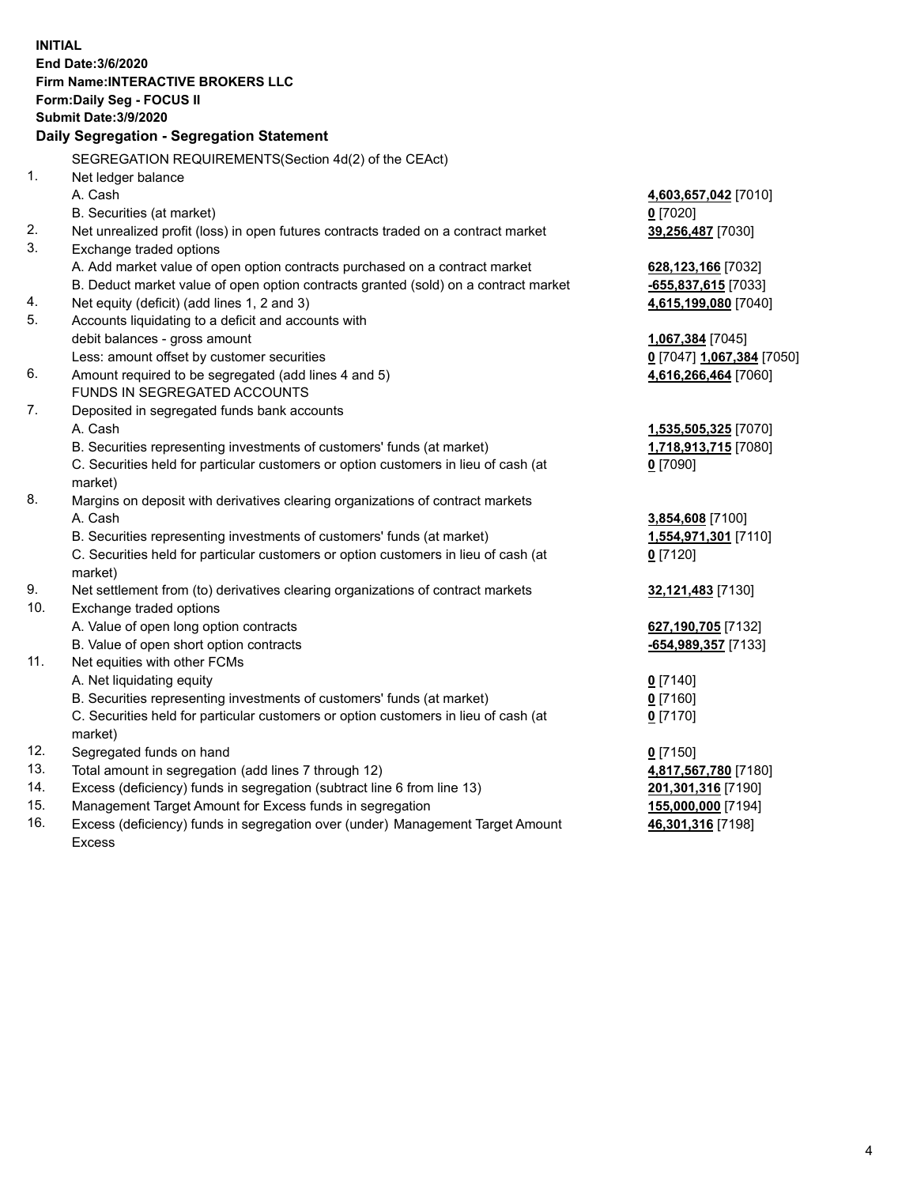**INITIAL End Date:3/6/2020 Firm Name:INTERACTIVE BROKERS LLC Form:Daily Seg - FOCUS II Submit Date:3/9/2020 Daily Segregation - Segregation Statement** SEGREGATION REQUIREMENTS(Section 4d(2) of the CEAct) 1. Net ledger balance A. Cash **4,603,657,042** [7010] B. Securities (at market) **0** [7020] 2. Net unrealized profit (loss) in open futures contracts traded on a contract market **39,256,487** [7030] 3. Exchange traded options A. Add market value of open option contracts purchased on a contract market **628,123,166** [7032] B. Deduct market value of open option contracts granted (sold) on a contract market **-655,837,615** [7033] 4. Net equity (deficit) (add lines 1, 2 and 3) **4,615,199,080** [7040] 5. Accounts liquidating to a deficit and accounts with debit balances - gross amount **1,067,384** [7045] Less: amount offset by customer securities **0** [7047] **1,067,384** [7050] 6. Amount required to be segregated (add lines 4 and 5) **4,616,266,464** [7060] FUNDS IN SEGREGATED ACCOUNTS 7. Deposited in segregated funds bank accounts A. Cash **1,535,505,325** [7070] B. Securities representing investments of customers' funds (at market) **1,718,913,715** [7080] C. Securities held for particular customers or option customers in lieu of cash (at market) **0** [7090] 8. Margins on deposit with derivatives clearing organizations of contract markets A. Cash **3,854,608** [7100] B. Securities representing investments of customers' funds (at market) **1,554,971,301** [7110] C. Securities held for particular customers or option customers in lieu of cash (at market) **0** [7120] 9. Net settlement from (to) derivatives clearing organizations of contract markets **32,121,483** [7130] 10. Exchange traded options A. Value of open long option contracts **627,190,705** [7132] B. Value of open short option contracts **-654,989,357** [7133] 11. Net equities with other FCMs A. Net liquidating equity **0** [7140] B. Securities representing investments of customers' funds (at market) **0** [7160] C. Securities held for particular customers or option customers in lieu of cash (at market) **0** [7170] 12. Segregated funds on hand **0** [7150] 13. Total amount in segregation (add lines 7 through 12) **4,817,567,780** [7180] 14. Excess (deficiency) funds in segregation (subtract line 6 from line 13) **201,301,316** [7190] 15. Management Target Amount for Excess funds in segregation **155,000,000** [7194] 16. Excess (deficiency) funds in segregation over (under) Management Target Amount **46,301,316** [7198]

Excess